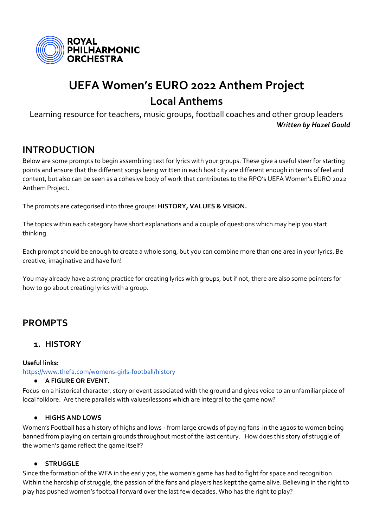

# **UEFA Women's EURO 2022 Anthem Project Local Anthems**

Learning resource for teachers, music groups, football coaches and other group leaders *Written by Hazel Gould*

# **INTRODUCTION**

Below are some prompts to begin assembling text for lyrics with your groups. These give a useful steer for starting points and ensure that the different songs being written in each host city are different enough in terms of feel and content, but also can be seen as a cohesive body of work that contributes to the RPO's UEFA Women's EURO 2022 Anthem Project.

The prompts are categorised into three groups: **HISTORY, VALUES & VISION.**

The topics within each category have short explanations and a couple of questions which may help you start thinking.

Each prompt should be enough to create a whole song, but you can combine more than one area in your lyrics. Be creative, imaginative and have fun!

You may already have a strong practice for creating lyrics with groups, but if not, there are also some pointers for how to go about creating lyrics with a group.

# **PROMPTS**

### **1. HISTORY**

**Useful links:**

<https://www.thefa.com/womens-girls-football/history>

#### ● **A FIGURE OR EVENT.**

Focus on a historical character, story or event associated with the ground and gives voice to an unfamiliar piece of local folklore. Are there parallels with values/lessons which are integral to the game now?

### ● **HIGHS AND LOWS**

Women's Football has a history of highs and lows - from large crowds of paying fans in the 1920s to women being banned from playing on certain grounds throughout most of the last century. How does this story of struggle of the women's game reflect the game itself?

### ● **STRUGGLE**

Since the formation of the WFA in the early 70s, the women's game has had to fight for space and recognition. Within the hardship of struggle, the passion of the fans and players has kept the game alive. Believing in the right to play has pushed women's football forward over the last few decades. Who has the right to play?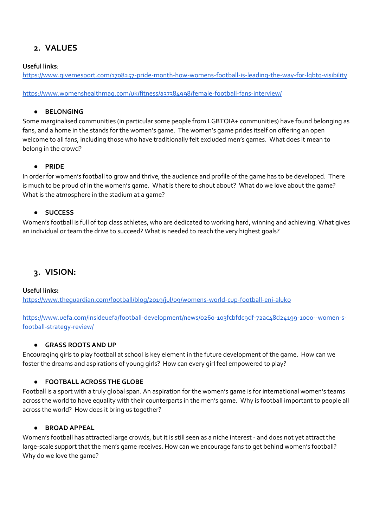# **2. VALUES**

### **Useful links**:

<https://www.givemesport.com/1708257-pride-month-how-womens-football-is-leading-the-way-for-lgbtq-visibility>

<https://www.womenshealthmag.com/uk/fitness/a37384998/female-football-fans-interview/>

### ● **BELONGING**

Some marginalised communities (in particular some people from LGBTQIA+ communities) have found belonging as fans, and a home in the stands for the women's game. The women's game prides itself on offering an open welcome to all fans, including those who have traditionally felt excluded men's games. What does it mean to belong in the crowd?

### ● **PRIDE**

In order for women's football to grow and thrive, the audience and profile of the game has to be developed. There is much to be proud of in the women's game. What is there to shout about? What do we love about the game? What is the atmosphere in the stadium at a game?

### ● **SUCCESS**

Women's football is full of top class athletes, who are dedicated to working hard, winning and achieving. What gives an individual or team the drive to succeed? What is needed to reach the very highest goals?

### **3. VISION:**

#### **Useful links:**

<https://www.theguardian.com/football/blog/2019/jul/09/womens-world-cup-football-eni-aluko>

[https://www.uefa.com/insideuefa/football-development/news/0260-103fcbfdc9df-72ac48d24199-1000--women-s](https://www.uefa.com/insideuefa/football-development/news/0260-103fcbfdc9df-72ac48d24199-1000--women-s-football-strategy-review/)[football-strategy-review/](https://www.uefa.com/insideuefa/football-development/news/0260-103fcbfdc9df-72ac48d24199-1000--women-s-football-strategy-review/)

#### ● **GRASS ROOTS AND UP**

Encouraging girls to play football at school is key element in the future development of the game. How can we foster the dreams and aspirations of young girls? How can every girl feel empowered to play?

### ● **FOOTBALL ACROSS THE GLOBE**

Football is a sport with a truly global span. An aspiration for the women's game is for international women's teams across the world to have equality with their counterparts in the men's game. Why is football important to people all across the world? How does it bring us together?

### ● **BROAD APPEAL**

Women's football has attracted large crowds, but it is still seen as a niche interest - and does not yet attract the large-scale support that the men's game receives. How can we encourage fans to get behind women's football? Why do we love the game?